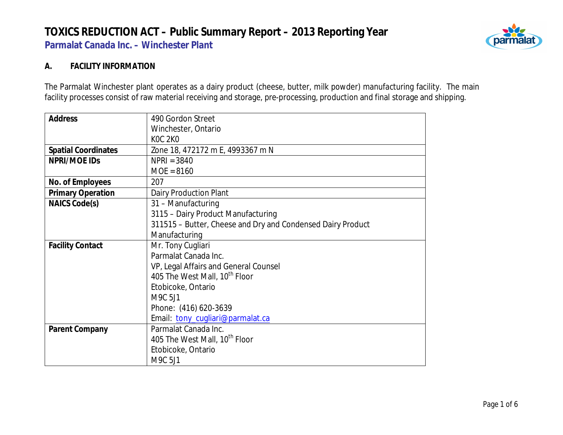

#### **A. FACILITY INFORMATION**

The Parmalat Winchester plant operates as a dairy product (cheese, butter, milk powder) manufacturing facility. The main facility processes consist of raw material receiving and storage, pre-processing, production and final storage and shipping.

| <b>Address</b>             | 490 Gordon Street                                           |  |  |  |  |
|----------------------------|-------------------------------------------------------------|--|--|--|--|
|                            | Winchester, Ontario                                         |  |  |  |  |
|                            | <b>KOC 2KO</b>                                              |  |  |  |  |
| <b>Spatial Coordinates</b> | Zone 18, 472172 m E, 4993367 m N                            |  |  |  |  |
| NPRI/MOE IDS               | $NPRI = 3840$                                               |  |  |  |  |
|                            | $MOE = 8160$                                                |  |  |  |  |
| No. of Employees           | 207                                                         |  |  |  |  |
| <b>Primary Operation</b>   | <b>Dairy Production Plant</b>                               |  |  |  |  |
| NAICS Code(s)              | 31 - Manufacturing                                          |  |  |  |  |
|                            | 3115 - Dairy Product Manufacturing                          |  |  |  |  |
|                            | 311515 - Butter, Cheese and Dry and Condensed Dairy Product |  |  |  |  |
|                            | Manufacturing                                               |  |  |  |  |
| <b>Facility Contact</b>    | Mr. Tony Cugliari                                           |  |  |  |  |
|                            | Parmalat Canada Inc.                                        |  |  |  |  |
|                            | VP, Legal Affairs and General Counsel                       |  |  |  |  |
|                            | 405 The West Mall, 10 <sup>th</sup> Floor                   |  |  |  |  |
|                            | Etobicoke, Ontario                                          |  |  |  |  |
|                            | M9C 5J1                                                     |  |  |  |  |
|                            | Phone: (416) 620-3639                                       |  |  |  |  |
|                            | Email: tony_cugliari@parmalat.ca                            |  |  |  |  |
| Parent Company             | Parmalat Canada Inc.                                        |  |  |  |  |
|                            | 405 The West Mall, 10 <sup>th</sup> Floor                   |  |  |  |  |
|                            | Etobicoke, Ontario                                          |  |  |  |  |
|                            | M9C 5J1                                                     |  |  |  |  |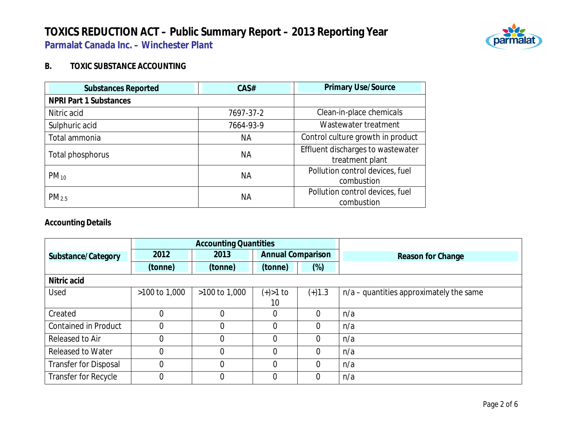

#### **B. TOXIC SUBSTANCE ACCOUNTING**

| <b>Substances Reported</b>    | CAS#      | <b>Primary Use/Source</b>                            |
|-------------------------------|-----------|------------------------------------------------------|
| <b>NPRI Part 1 Substances</b> |           |                                                      |
| Nitric acid                   | 7697-37-2 | Clean-in-place chemicals                             |
| Sulphuric acid                | 7664-93-9 | Wastewater treatment                                 |
| Total ammonia                 | <b>NA</b> | Control culture growth in product                    |
| Total phosphorus              | NА        | Effluent discharges to wastewater<br>treatment plant |
| $PM_{10}$                     | <b>NA</b> | Pollution control devices, fuel<br>combustion        |
| PM <sub>2.5</sub>             | <b>NA</b> | Pollution control devices, fuel<br>combustion        |

#### **Accounting Details**

|                              | <b>Accounting Quantities</b> |                   |                          |                |                                           |
|------------------------------|------------------------------|-------------------|--------------------------|----------------|-------------------------------------------|
| Substance/Category           | 2012                         | 2013              | <b>Annual Comparison</b> |                | Reason for Change                         |
|                              | (tonne)                      | (tonne)           | (tonne)                  | $(\%)$         |                                           |
| Nitric acid                  |                              |                   |                          |                |                                           |
| Used                         | >100 to 1,000                | $>100$ to $1,000$ | $(+) > 1$ to             | $(+)1.3$       | $n/a$ – quantities approximately the same |
|                              |                              |                   | 10                       |                |                                           |
| Created                      | 0                            |                   | 0                        | $\overline{0}$ | n/a                                       |
| <b>Contained in Product</b>  |                              |                   | 0                        | $\overline{0}$ | n/a                                       |
| Released to Air              | 0                            | $\overline{0}$    | 0                        | $\Omega$       | n/a                                       |
| <b>Released to Water</b>     | 0                            | 0                 | 0                        | $\Omega$       | n/a                                       |
| <b>Transfer for Disposal</b> | 0                            | 0                 | 0                        |                | n/a                                       |
| Transfer for Recycle         | 0                            |                   | 0                        |                | n/a                                       |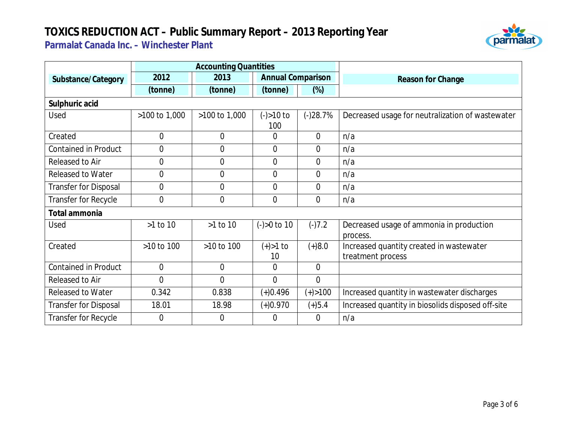

|                              | <b>Accounting Quantities</b> |                |                          |                |                                                               |  |  |
|------------------------------|------------------------------|----------------|--------------------------|----------------|---------------------------------------------------------------|--|--|
| Substance/Category           | 2012                         | 2013           | <b>Annual Comparison</b> |                | Reason for Change                                             |  |  |
|                              | (tonne)                      | (tonne)        | (tonne)                  | $(\%)$         |                                                               |  |  |
| Sulphuric acid               |                              |                |                          |                |                                                               |  |  |
| Used                         | >100 to 1,000                | >100 to 1,000  | $(-) > 10$ to<br>100     | $(-)28.7%$     | Decreased usage for neutralization of wastewater              |  |  |
| Created                      | $\overline{0}$               | $\overline{0}$ | 0                        | $\overline{0}$ | n/a                                                           |  |  |
| <b>Contained in Product</b>  | $\overline{0}$               | $\overline{0}$ | $\overline{0}$           | $\overline{0}$ | n/a                                                           |  |  |
| Released to Air              | $\overline{0}$               | $\overline{0}$ | $\overline{0}$           | $\overline{0}$ | n/a                                                           |  |  |
| <b>Released to Water</b>     | $\overline{0}$               | $\overline{0}$ | $\overline{0}$           | $\overline{0}$ | n/a                                                           |  |  |
| <b>Transfer for Disposal</b> | $\overline{0}$               | $\mathbf 0$    | $\overline{0}$           | 0              | n/a                                                           |  |  |
| Transfer for Recycle         | $\overline{0}$               | $\overline{0}$ | 0                        | 0              | n/a                                                           |  |  |
| Total ammonia                |                              |                |                          |                |                                                               |  |  |
| Used                         | >1 to 10                     | >1 to 10       | $(-) > 0$ to 10          | $(-)7.2$       | Decreased usage of ammonia in production<br>process.          |  |  |
| Created                      | >10 to 100                   | $>10$ to $100$ | $(+) > 1$ to<br>10       | $(+)8.0$       | Increased quantity created in wastewater<br>treatment process |  |  |
| <b>Contained in Product</b>  | $\mathbf 0$                  | $\overline{0}$ | 0                        | $\overline{0}$ |                                                               |  |  |
| Released to Air              | $\overline{0}$               | $\overline{0}$ | 0                        | $\overline{0}$ |                                                               |  |  |
| <b>Released to Water</b>     | 0.342                        | 0.838          | $(+)0.496$               | $(+) > 100$    | Increased quantity in wastewater discharges                   |  |  |
| <b>Transfer for Disposal</b> | 18.01                        | 18.98          | $(+)0.970$               | $(+)5.4$       | Increased quantity in biosolids disposed off-site             |  |  |
| Transfer for Recycle         | $\overline{0}$               | $\Omega$       | $\Omega$                 | $\Omega$       | n/a                                                           |  |  |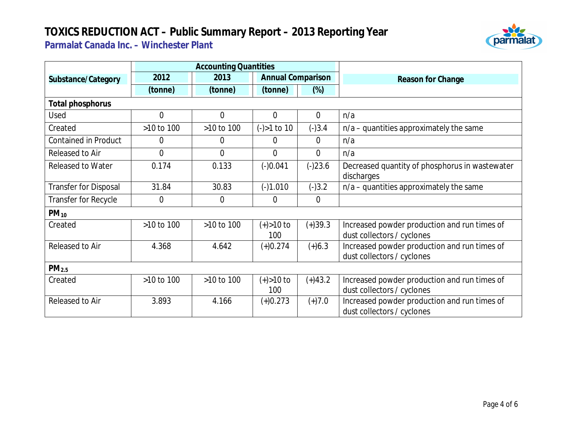

|                              | <b>Accounting Quantities</b> |                |                          |                |                                                                            |
|------------------------------|------------------------------|----------------|--------------------------|----------------|----------------------------------------------------------------------------|
| Substance/Category           | 2012                         | 2013           | <b>Annual Comparison</b> |                | Reason for Change                                                          |
|                              | (tonne)                      | (tonne)        | (tonne)                  | $(\%)$         |                                                                            |
| Total phosphorus             |                              |                |                          |                |                                                                            |
| Used                         | $\overline{0}$               | $\overline{0}$ | $\overline{0}$           | $\overline{0}$ | n/a                                                                        |
| Created                      | >10 to 100                   | >10 to 100     | $(-) > 1$ to 10          | $(-)3.4$       | $n/a$ – quantities approximately the same                                  |
| <b>Contained in Product</b>  | 0                            | $\Omega$       | $\Omega$                 | $\overline{0}$ | n/a                                                                        |
| Released to Air              | $\overline{0}$               | $\overline{0}$ | $\overline{0}$           | $\Omega$       | n/a                                                                        |
| <b>Released to Water</b>     | 0.174                        | 0.133          | $(-)0.041$               | $(-)23.6$      | Decreased quantity of phosphorus in wastewater<br>discharges               |
| <b>Transfer for Disposal</b> | 31.84                        | 30.83          | $(-)1.010$               | $(-)3.2$       | $n/a$ – quantities approximately the same                                  |
| Transfer for Recycle         | $\boldsymbol{0}$             | $\overline{0}$ | $\overline{0}$           | $\overline{0}$ |                                                                            |
| $PM_{10}$                    |                              |                |                          |                |                                                                            |
| Created                      | $>10$ to 100                 | >10 to 100     | $(+) > 10$ to<br>100     | $(+)39.3$      | Increased powder production and run times of<br>dust collectors / cyclones |
| Released to Air              | 4.368                        | 4.642          | $(+)0.274$               | $(+)6.3$       | Increased powder production and run times of<br>dust collectors / cyclones |
| PM <sub>2.5</sub>            |                              |                |                          |                |                                                                            |
| Created                      | >10 to 100                   | >10 to 100     | $(+) > 10$ to<br>100     | $(+)43.2$      | Increased powder production and run times of<br>dust collectors / cyclones |
| Released to Air              | 3.893                        | 4.166          | $(+)0.273$               | $(+)7.0$       | Increased powder production and run times of<br>dust collectors / cyclones |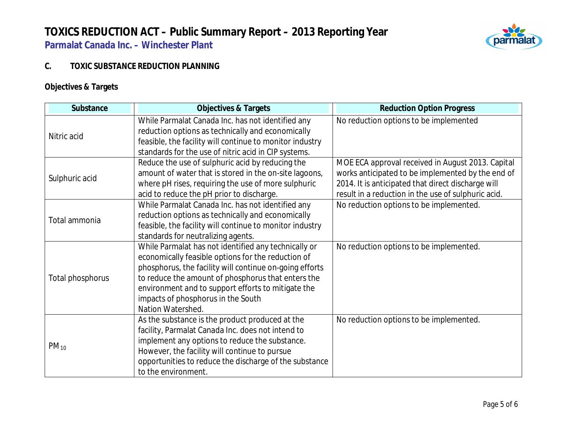

#### **C. TOXIC SUBSTANCE REDUCTION PLANNING**

### **Objectives & Targets**

| Substance        | <b>Objectives &amp; Targets</b>                                                                                                                                    | <b>Reduction Option Progress</b>                                                                        |
|------------------|--------------------------------------------------------------------------------------------------------------------------------------------------------------------|---------------------------------------------------------------------------------------------------------|
| Nitric acid      | While Parmalat Canada Inc. has not identified any<br>reduction options as technically and economically<br>feasible, the facility will continue to monitor industry | No reduction options to be implemented                                                                  |
|                  | standards for the use of nitric acid in CIP systems.                                                                                                               |                                                                                                         |
|                  | Reduce the use of sulphuric acid by reducing the                                                                                                                   | MOE ECA approval received in August 2013. Capital                                                       |
| Sulphuric acid   | amount of water that is stored in the on-site lagoons,<br>where pH rises, requiring the use of more sulphuric                                                      | works anticipated to be implemented by the end of<br>2014. It is anticipated that direct discharge will |
|                  | acid to reduce the pH prior to discharge.                                                                                                                          | result in a reduction in the use of sulphuric acid.                                                     |
|                  | While Parmalat Canada Inc. has not identified any                                                                                                                  | No reduction options to be implemented.                                                                 |
| Total ammonia    | reduction options as technically and economically<br>feasible, the facility will continue to monitor industry                                                      |                                                                                                         |
|                  | standards for neutralizing agents.                                                                                                                                 |                                                                                                         |
|                  | While Parmalat has not identified any technically or<br>economically feasible options for the reduction of                                                         | No reduction options to be implemented.                                                                 |
|                  | phosphorus, the facility will continue on-going efforts                                                                                                            |                                                                                                         |
| Total phosphorus | to reduce the amount of phosphorus that enters the                                                                                                                 |                                                                                                         |
|                  | environment and to support efforts to mitigate the                                                                                                                 |                                                                                                         |
|                  | impacts of phosphorus in the South<br>Nation Watershed.                                                                                                            |                                                                                                         |
| $PM_{10}$        | As the substance is the product produced at the                                                                                                                    | No reduction options to be implemented.                                                                 |
|                  | facility, Parmalat Canada Inc. does not intend to                                                                                                                  |                                                                                                         |
|                  | implement any options to reduce the substance.                                                                                                                     |                                                                                                         |
|                  | However, the facility will continue to pursue<br>opportunities to reduce the discharge of the substance                                                            |                                                                                                         |
|                  | to the environment.                                                                                                                                                |                                                                                                         |